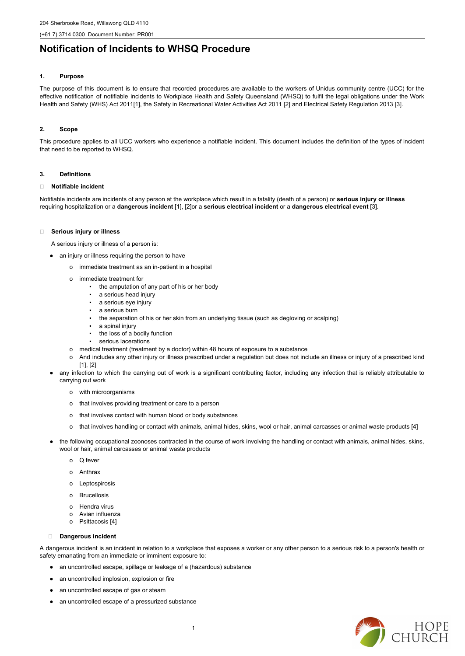# **Notification of Incidents to WHSQ Procedure**

#### **1. Purpose**

The purpose of this document is to ensure that recorded procedures are available to the workers of Unidus community centre (UCC) for the effective notification of notifiable incidents to Workplace Health and Safety Queensland (WHSQ) to fulfil the legal obligations under the Work Health and Safety (WHS) Act 2011[1], the Safety in Recreational Water Activities Act 2011 [2] and Electrical Safety Regulation 2013 [3].

#### **2. Scope**

This procedure applies to all UCC workers who experience a notifiable incident. This document includes the definition of the types of incident that need to be reported to WHSQ.

#### **3. Definitions**

#### **Notifiable incident**

Notifiable incidents are incidents of any person at the workplace which result in a fatality (death of a person) or **serious injury or illness** requiring hospitalization or a **dangerous incident** [1], [2]or a **serious electrical incident** or a **dangerous electrical event** [3].

#### **Serious injury or illness**

A serious injury or illness of a person is:

- an injury or illness requiring the person to have
	- o immediate treatment as an in-patient in a hospital
	- o immediate treatment for
		- the amputation of any part of his or her body
		- a serious head injury
		- a serious eye injury
		- a serious burn
		- the separation of his or her skin from an underlying tissue (such as degloving or scalping)
		- a spinal injury
		- the loss of a bodily function
		- serious lacerations
	- o medical treatment (treatment by a doctor) within 48 hours of exposure to a substance
	- o And includes any other injury or illness prescribed under a regulation but does not include an illness or injury of a prescribed kind [1], [2]
- any infection to which the carrying out of work is a significant contributing factor, including any infection that is reliably attributable to carrying out work
	- o with microorganisms
	- o that involves providing treatment or care to a person
	- o that involves contact with human blood or body substances
	- o that involves handling or contact with animals, animal hides, skins, wool or hair, animal carcasses or animal waste products [4]
- the following occupational zoonoses contracted in the course of work involving the handling or contact with animals, animal hides, skins, wool or hair, animal carcasses or animal waste products
	- o Q fever
	- o Anthrax
	- o Leptospirosis
	- **Brucellosis**
	-
	- o Hendra virus
	- o Avian influenza
	- o Psittacosis [4]

- an uncontrolled escape, spillage or leakage of a (hazardous) substance
- an uncontrolled implosion, explosion or fire
- an uncontrolled escape of gas or steam
- an uncontrolled escape of a pressurized substance



#### **Dangerous incident**

A dangerous incident is an incident in relation to a workplace that exposes a worker or any other person to a serious risk to a person's health or safety emanating from an immediate or imminent exposure to: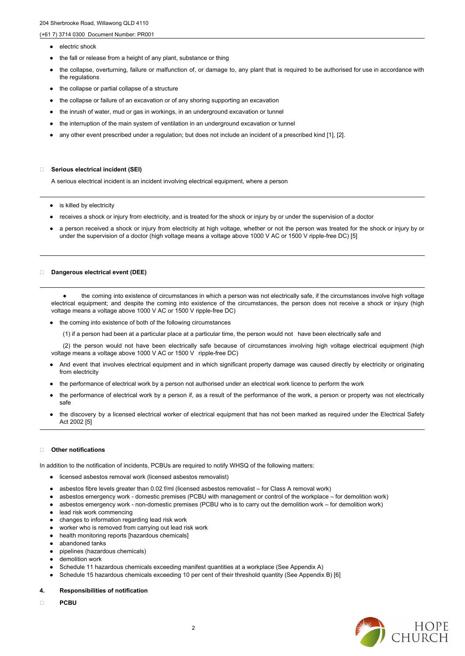- electric shock
- the fall or release from a height of any plant, substance or thing
- the collapse, overturning, failure or malfunction of, or damage to, any plant that is required to be authorised for use in accordance with the regulations
- the collapse or partial collapse of a structure
- the collapse or failure of an excavation or of any shoring supporting an excavation
- the inrush of water, mud or gas in workings, in an underground excavation or tunnel
- the interruption of the main system of ventilation in an underground excavation or tunnel
- any other event prescribed under a regulation; but does not include an incident of a prescribed kind [1], [2].

- is killed by electricity
- receives a shock or injury from electricity, and is treated for the shock or injury by or under the supervision of a doctor
- a person received a shock or injury from electricity at high voltage, whether or not the person was treated for the shock or injury by or under the supervision of a doctor (high voltage means a voltage above 1000 V AC or 1500 V ripple-free DC) [5]

#### **Serious electrical incident (SEI)**

A serious electrical incident is an incident involving electrical equipment, where a person

- And event that involves electrical equipment and in which significant property damage was caused directly by electricity or originating from electricity
- the performance of electrical work by a person not authorised under an electrical work licence to perform the work
- the performance of electrical work by a person if, as a result of the performance of the work, a person or property was not electrically safe
- the discovery by a licensed electrical worker of electrical equipment that has not been marked as required under the Electrical Safety Act 2002 [5]

#### **Dangerous electrical event (DEE)**

● the coming into existence of circumstances in which a person was not electrically safe, if the circumstances involve high voltage electrical equipment; and despite the coming into existence of the circumstances, the person does not receive a shock or injury (high voltage means a voltage above 1000 V AC or 1500 V ripple-free DC)

- the coming into existence of both of the following circumstances
	- (1) if a person had been at a particular place at a particular time, the person would not have been electrically safe and

- licensed asbestos removal work (licensed asbestos removalist)
- asbestos fibre levels greater than 0.02 f/ml (licensed asbestos removalist for Class A removal work)
- 
- asbestos emergency work domestic premises (PCBU with management or control of the workplace for demolition work)
- asbestos emergency work non-domestic premises (PCBU who is to carry out the demolition work for demolition work)
- lead risk work commencing
- changes to information regarding lead risk work
- worker who is removed from carrying out lead risk work
- health monitoring reports [hazardous chemicals]
- abandoned tanks
- pipelines (hazardous chemicals)
- demolition work
- Schedule 11 hazardous chemicals exceeding manifest quantities at a workplace (See Appendix A)
- Schedule 15 hazardous chemicals exceeding 10 per cent of their threshold quantity (See Appendix B) [6]
- **4. Responsibilities of notification**
- **PCBU**



(2) the person would not have been electrically safe because of circumstances involving high voltage electrical equipment (high voltage means a voltage above 1000 V AC or 1500 V ripple-free DC)

#### **Other notifications**

In addition to the notification of incidents, PCBUs are required to notify WHSQ of the following matters: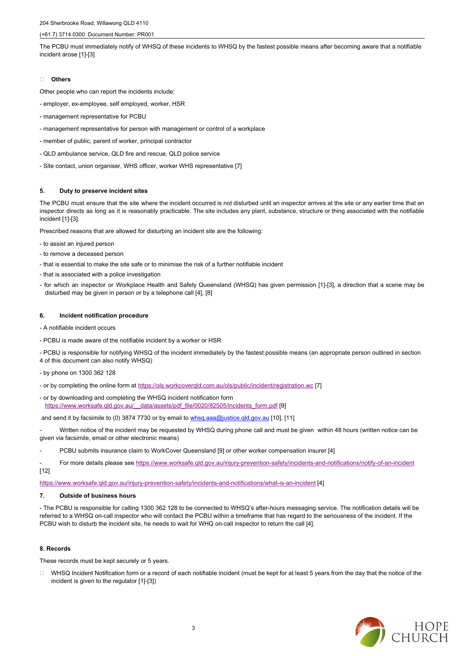The PCBU must immediately notify of WHSQ of these incidents to WHSQ by the fastest possible means after becoming aware that a notifiable incident arose [1]-[3]

#### **Others**

Other people who can report the incidents include:

- employer, ex-employee, self employed, worker, HSR
- management representative for PCBU
- management representative for person with management or control of a workplace
- member of public, parent of worker, principal contractor
- QLD ambulance service, QLD fire and rescue, QLD police service
- Site contact, union organiser, WHS officer, worker WHS representative [7]

### **5. Duty to preserve incident sites**

The PCBU must ensure that the site where the incident occurred is not disturbed until an inspector arrives at the site or any earlier time that an inspector directs as long as it is reasonably practicable. The site includes any plant, substance, structure or thing associated with the notifiable incident [1]-[3].

- by phone on 1300 362 128
- or by completing the online form at <https://ols.workcoverqld.com.au/ols/public/incident/registration.wc> [7]
- or by downloading and completing the WHSQ incident notification form [https://www.worksafe.qld.gov.au/\\_\\_data/assets/pdf\\_file/0020/82505/incidents\\_form.pdf](https://www.worksafe.qld.gov.au/__data/assets/pdf_file/0020/82505/incidents_form.pdf) [9]

and send it by facsimile to (0) 3874 7730 or by email to whsq.aaa@justice.qld.gov.au [10], [11]

Prescribed reasons that are allowed for disturbing an incident site are the following:

Written notice of the incident may be requested by WHSQ during phone call and must be given within 48 hours (written notice can be given via facsimile, email or other electronic means)

- to assist an injured person
- to remove a deceased person
- that is essential to make the site safe or to minimise the risk of a further notifiable incident
- that is associated with a police investigation
- for which an inspector or Workplace Health and Safety Queensland (WHSQ) has given permission [1]-[3], a direction that a scene may be disturbed may be given in person or by a telephone call [4], [8]

#### **6. Incident notification procedure**

- A notifiable incident occurs
- PCBU is made aware of the notifiable incident by a worker or HSR

□ WHSQ Incident Notification form or a record of each notifiable incident (must be kept for at least 5 years from the day that the notice of the incident is given to the regulator [1]-[3])



- PCBU is responsible for notifying WHSQ of the incident immediately by the fastest possible means (an appropriate person outlined in section 4 of this document can also notify WHSQ)

- PCBU submits insurance claim to WorkCover Queensland [9] or other worker compensation insurer [4]
- For more details please see <https://www.worksafe.qld.gov.au/injury-prevention-safety/incidents-and-notifications/notify-of-an-incident> [12]

<https://www.worksafe.qld.gov.au/injury-prevention-safety/incidents-and-notifications/what-is-an-incident> [4]

**7. Outside of business hours**

- The PCBU is responsible for calling 1300 362 128 to be connected to WHSQ's after-hours messaging service. The notification details will be referred to a WHSQ on-call inspector who will contact the PCBU within a timeframe that has regard to the seriousness of the incident. If the PCBU wish to disturb the incident site, he needs to wait for WHQ on-call inspector to return the call [4].

#### **8. Records**

These records must be kept securely or 5 years.